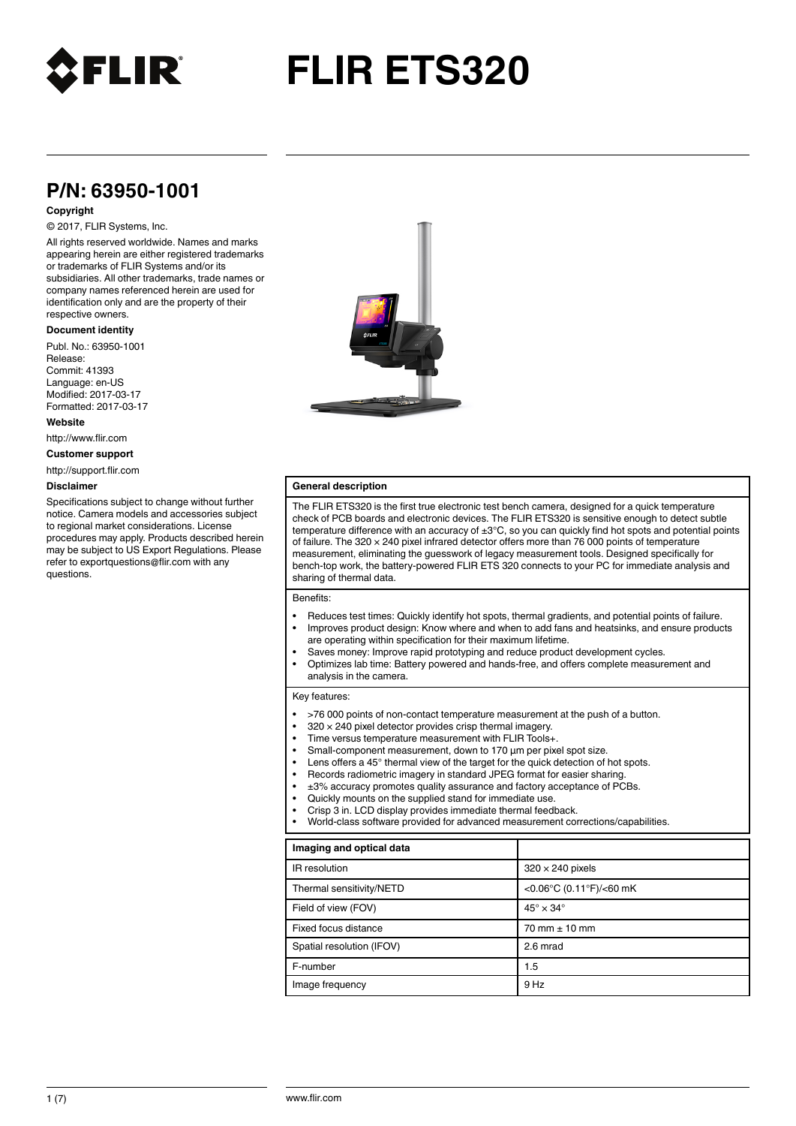

# **FLIR ETS320**

# **P/N: 63950-1001**

# **Copyright**

# © 2017, FLIR Systems, Inc.

All rights reserved worldwide. Names and marks appearing herein are either registered trademarks or trademarks of FLIR Systems and/or its subsidiaries. All other trademarks, trade names or company names referenced herein are used for identification only and are the property of their respective owners.

## **Document identity**

Publ. No.: 63950-1001 Release: Commit: 41393 Language: en-US Modified: 2017-03-17 Formatted: 2017-03-17

**Website**

http://www.flir.com

**Customer support**

http://support.flir.com

#### **Disclaimer**

Specifications subject to change without further notice. Camera models and accessories subject to regional market considerations. License procedures may apply. Products described herein may be subject to US Export Regulations. Please refer to exportquestions@flir.com with any questions.



## **General description**

The FLIR ETS320 is the first true electronic test bench camera, designed for a quick temperature check of PCB boards and electronic devices. The FLIR ETS320 is sensitive enough to detect subtle temperature difference with an accuracy of ±3°C, so you can quickly find hot spots and potential points of failure. The  $320 \times 240$  pixel infrared detector offers more than 76 000 points of temperature measurement, eliminating the guesswork of legacy measurement tools. Designed specifically for bench-top work, the battery-powered FLIR ETS 320 connects to your PC for immediate analysis and sharing of thermal data.

## Benefits:

- Reduces test times: Quickly identify hot spots, thermal gradients, and potential points of failure. • Improves product design: Know where and when to add fans and heatsinks, and ensure products
- are operating within specification for their maximum lifetime.
- Saves money: Improve rapid prototyping and reduce product development cycles. • Optimizes lab time: Battery powered and hands-free, and offers complete measurement and analysis in the camera.

#### Key features:

- >76 000 points of non-contact temperature measurement at the push of a button.
- $320 \times 240$  pixel detector provides crisp thermal imagery.
- Time versus temperature measurement with FLIR Tools+.
- Small-component measurement, down to 170 µm per pixel spot size.
- Lens offers a 45° thermal view of the target for the quick detection of hot spots.
- Records radiometric imagery in standard JPEG format for easier sharing.
- ±3% accuracy promotes quality assurance and factory acceptance of PCBs.
- Quickly mounts on the supplied stand for immediate use.
- Crisp 3 in. LCD display provides immediate thermal feedback.
- World-class software provided for advanced measurement corrections/capabilities.

| Imaging and optical data  |                            |
|---------------------------|----------------------------|
| IR resolution             | $320 \times 240$ pixels    |
| Thermal sensitivity/NETD  | <0.06°C (0.11°F)/<60 mK    |
| Field of view (FOV)       | $45^\circ \times 34^\circ$ |
| Fixed focus distance      | $70$ mm $\pm$ 10 mm        |
| Spatial resolution (IFOV) | 2.6 mrad                   |
| F-number                  | 1.5                        |
| Image frequency           | 9 Hz                       |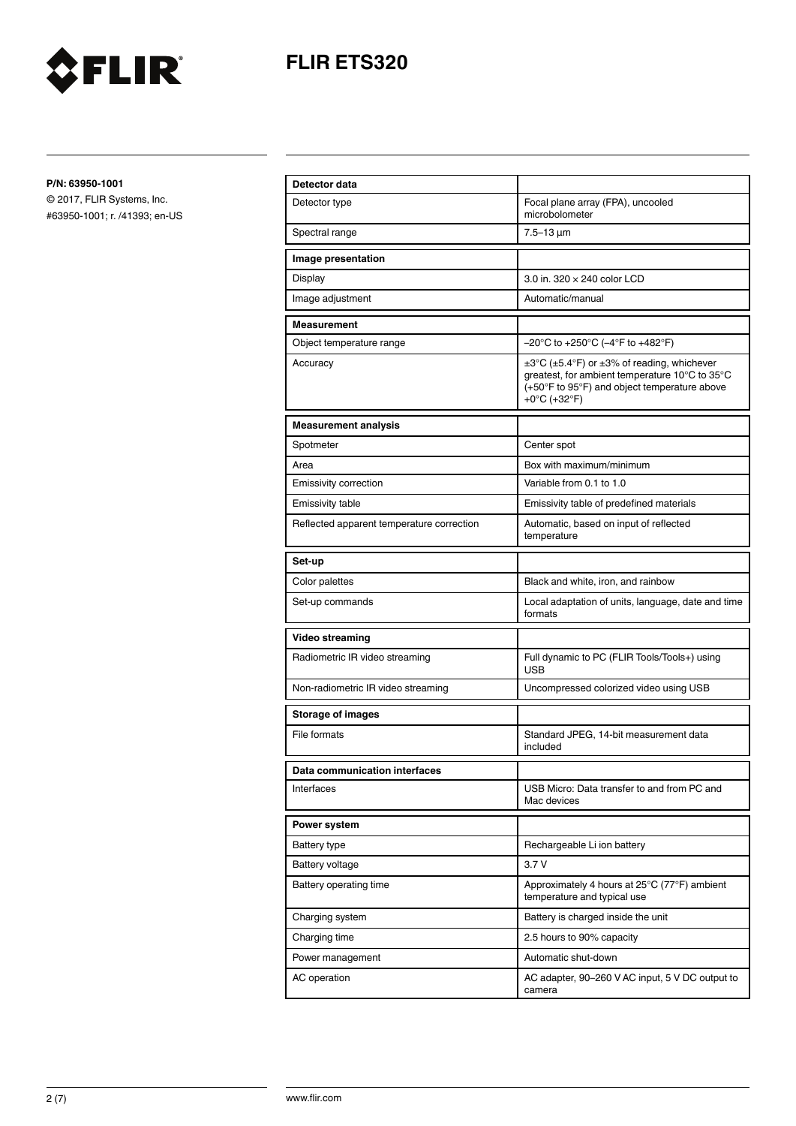

# **FLIR ETS320**

**P/N: 63950-1001**

© 2017, FLIR Systems, Inc. #63950-1001; r. /41393; en-US

| Detector data                             |                                                                                                                                                                                               |
|-------------------------------------------|-----------------------------------------------------------------------------------------------------------------------------------------------------------------------------------------------|
| Detector type                             | Focal plane array (FPA), uncooled<br>microbolometer                                                                                                                                           |
| Spectral range                            | $7.5 - 13 \mu m$                                                                                                                                                                              |
| Image presentation                        |                                                                                                                                                                                               |
| Display                                   | 3.0 in. 320 x 240 color LCD                                                                                                                                                                   |
| Image adjustment                          | Automatic/manual                                                                                                                                                                              |
| <b>Measurement</b>                        |                                                                                                                                                                                               |
| Object temperature range                  | $-20^{\circ}$ C to +250 $^{\circ}$ C (-4 $^{\circ}$ F to +482 $^{\circ}$ F)                                                                                                                   |
| Accuracy                                  | $\pm 3^{\circ}$ C ( $\pm 5.4^{\circ}$ F) or $\pm 3\%$ of reading, whichever<br>greatest, for ambient temperature 10°C to 35°C<br>(+50°F to 95°F) and object temperature above<br>+0°C (+32°F) |
| <b>Measurement analysis</b>               |                                                                                                                                                                                               |
| Spotmeter                                 | Center spot                                                                                                                                                                                   |
| Area                                      | Box with maximum/minimum                                                                                                                                                                      |
| Emissivity correction                     | Variable from 0.1 to 1.0                                                                                                                                                                      |
| <b>Emissivity table</b>                   | Emissivity table of predefined materials                                                                                                                                                      |
| Reflected apparent temperature correction | Automatic, based on input of reflected<br>temperature                                                                                                                                         |
| Set-up                                    |                                                                                                                                                                                               |
| Color palettes                            | Black and white, iron, and rainbow                                                                                                                                                            |
| Set-up commands                           | Local adaptation of units, language, date and time<br>formats                                                                                                                                 |
| <b>Video streaming</b>                    |                                                                                                                                                                                               |
| Radiometric IR video streaming            | Full dynamic to PC (FLIR Tools/Tools+) using<br><b>USB</b>                                                                                                                                    |
| Non-radiometric IR video streaming        | Uncompressed colorized video using USB                                                                                                                                                        |
| <b>Storage of images</b>                  |                                                                                                                                                                                               |
| File formats                              | Standard JPEG, 14-bit measurement data<br>included                                                                                                                                            |
| Data communication interfaces             |                                                                                                                                                                                               |
| Interfaces                                | USB Micro: Data transfer to and from PC and<br>Mac devices                                                                                                                                    |
| Power system                              |                                                                                                                                                                                               |
| <b>Battery type</b>                       | Rechargeable Li ion battery                                                                                                                                                                   |
| <b>Battery voltage</b>                    | 3.7V                                                                                                                                                                                          |
| Battery operating time                    | Approximately 4 hours at 25°C (77°F) ambient<br>temperature and typical use                                                                                                                   |
| Charging system                           | Battery is charged inside the unit                                                                                                                                                            |
| Charging time                             | 2.5 hours to 90% capacity                                                                                                                                                                     |
| Power management                          | Automatic shut-down                                                                                                                                                                           |
| AC operation                              | AC adapter, 90–260 V AC input, 5 V DC output to<br>camera                                                                                                                                     |
|                                           |                                                                                                                                                                                               |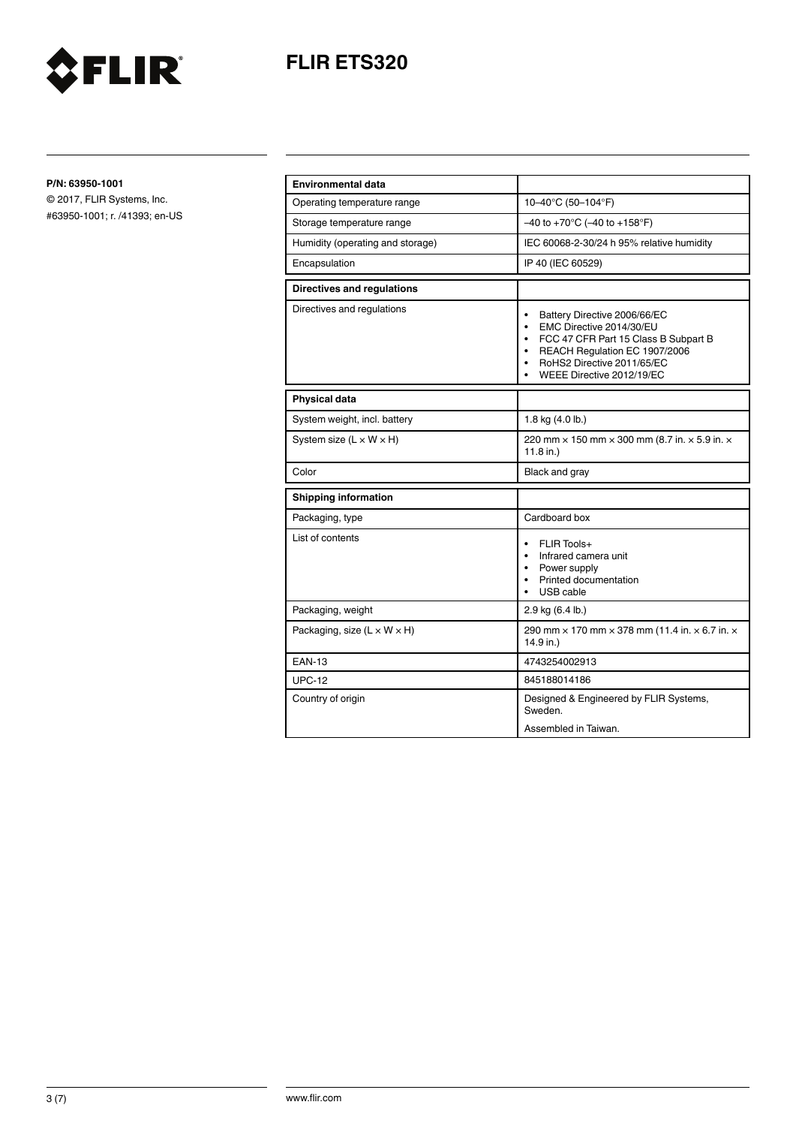



**P/N: 63950-1001**

© 2017, FLIR Systems, Inc. #63950-1001; r. /41393; en-US

| <b>Environmental data</b>               |                                                                                                                                                                                                                                       |
|-----------------------------------------|---------------------------------------------------------------------------------------------------------------------------------------------------------------------------------------------------------------------------------------|
| Operating temperature range             | 10-40°C (50-104°F)                                                                                                                                                                                                                    |
| Storage temperature range               | $-40$ to +70°C (-40 to +158°F)                                                                                                                                                                                                        |
| Humidity (operating and storage)        | IEC 60068-2-30/24 h 95% relative humidity                                                                                                                                                                                             |
| Encapsulation                           | IP 40 (IEC 60529)                                                                                                                                                                                                                     |
| <b>Directives and requlations</b>       |                                                                                                                                                                                                                                       |
| Directives and regulations              | Battery Directive 2006/66/EC<br>$\bullet$<br>EMC Directive 2014/30/EU<br>$\bullet$<br>• FCC 47 CFR Part 15 Class B Subpart B<br>REACH Regulation EC 1907/2006<br>$\bullet$<br>RoHS2 Directive 2011/65/EC<br>WEEE Directive 2012/19/EC |
| <b>Physical data</b>                    |                                                                                                                                                                                                                                       |
| System weight, incl. battery            | 1.8 kg (4.0 lb.)                                                                                                                                                                                                                      |
| System size $(L \times W \times H)$     | 220 mm $\times$ 150 mm $\times$ 300 mm (8.7 in. $\times$ 5.9 in. $\times$<br>11.8 in.)                                                                                                                                                |
| Color                                   | Black and gray                                                                                                                                                                                                                        |
| <b>Shipping information</b>             |                                                                                                                                                                                                                                       |
| Packaging, type                         | Cardboard box                                                                                                                                                                                                                         |
| List of contents                        | FLIR Tools+<br>$\bullet$<br>Infrared camera unit<br>• Power supply<br>Printed documentation<br>USB cable<br>$\bullet$                                                                                                                 |
| Packaging, weight                       | 2.9 kg (6.4 lb.)                                                                                                                                                                                                                      |
| Packaging, size $(L \times W \times H)$ | 290 mm $\times$ 170 mm $\times$ 378 mm (11.4 in. $\times$ 6.7 in. $\times$<br>14.9 in.)                                                                                                                                               |
| <b>EAN-13</b>                           | 4743254002913                                                                                                                                                                                                                         |
| <b>UPC-12</b>                           | 845188014186                                                                                                                                                                                                                          |
| Country of origin                       | Designed & Engineered by FLIR Systems,<br>Sweden.                                                                                                                                                                                     |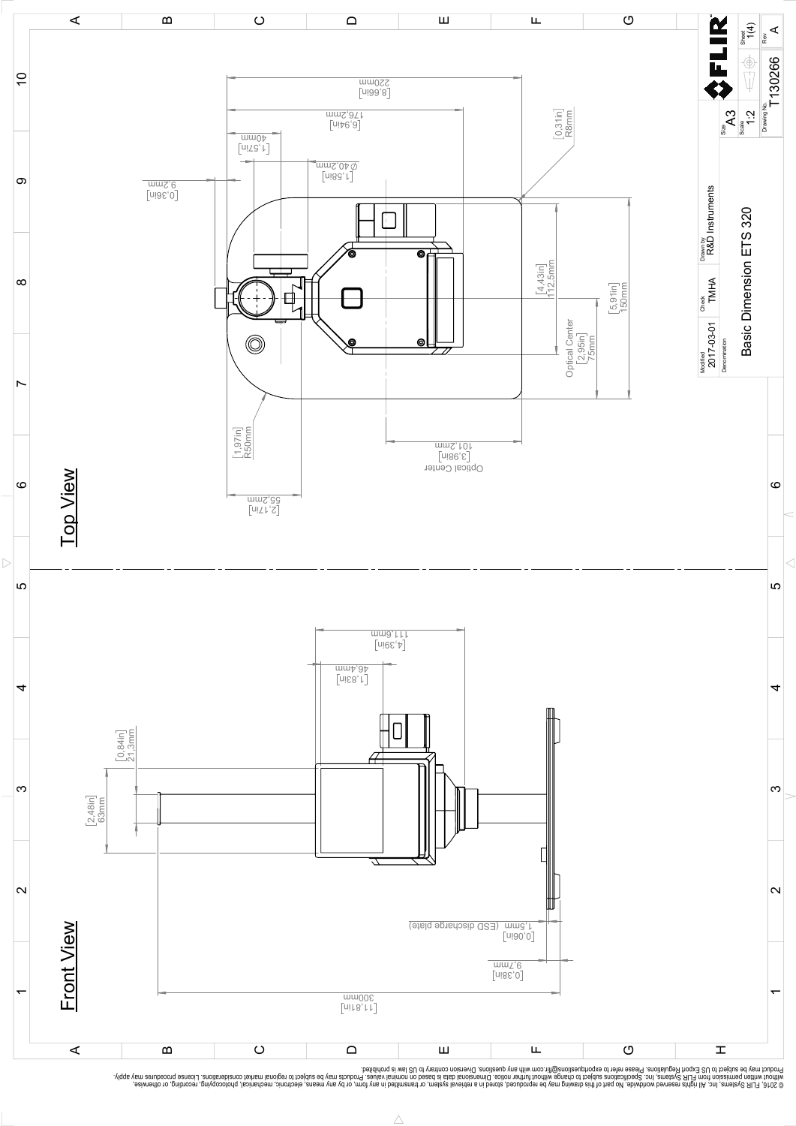

Possibly the manufact of the manufact of the section of the section of the section of the section of the section of the section of the section of the section of the section of the section of the section of the section of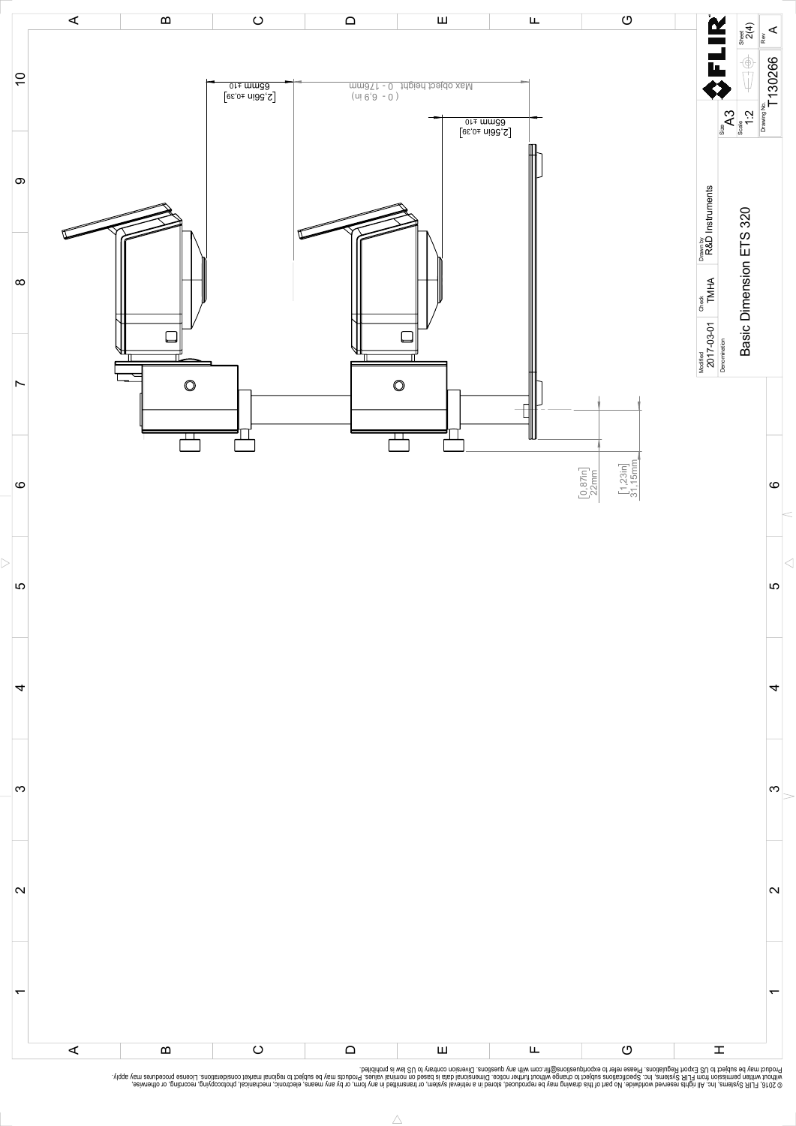

Possibly the manufact of the manufact of the season of the second of the second of the second of the second of the season second of the second of the second of the second of the second of the second of the second of the s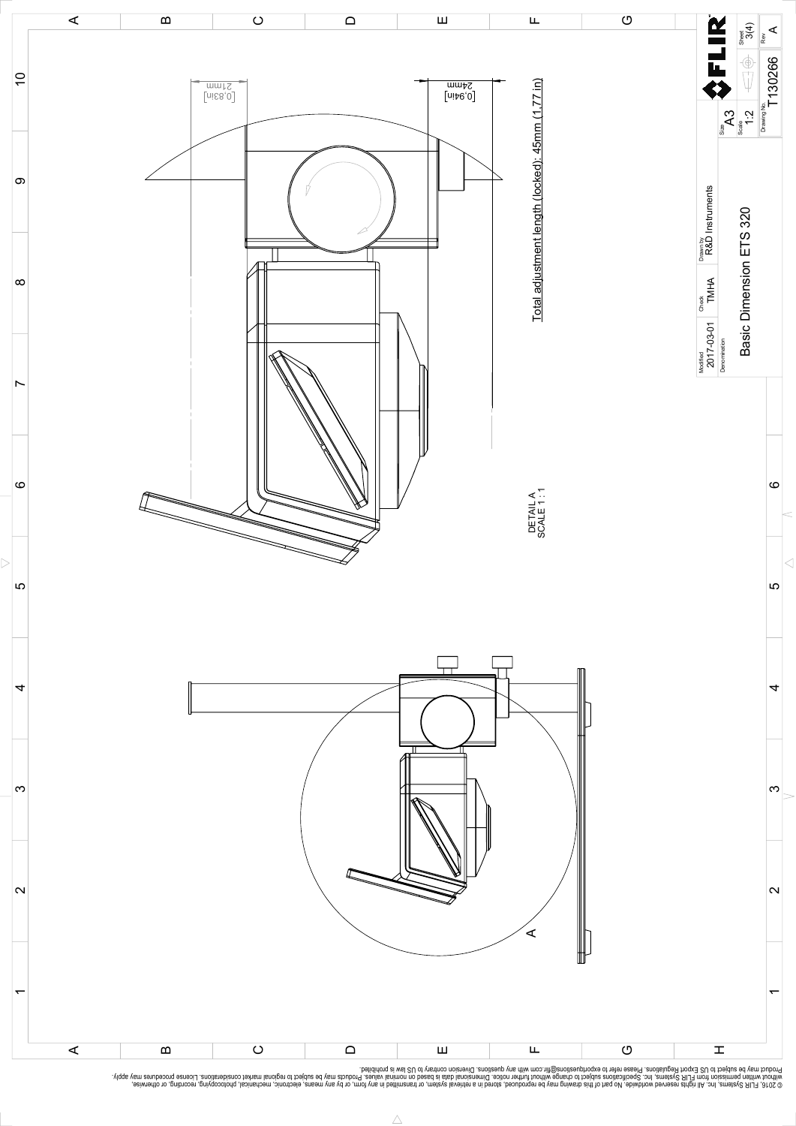

Possibly the manufact of the manufact of the season of the second of the second of the second of the second of the season second of the second of the second of the second of the second of the second of the second of the s